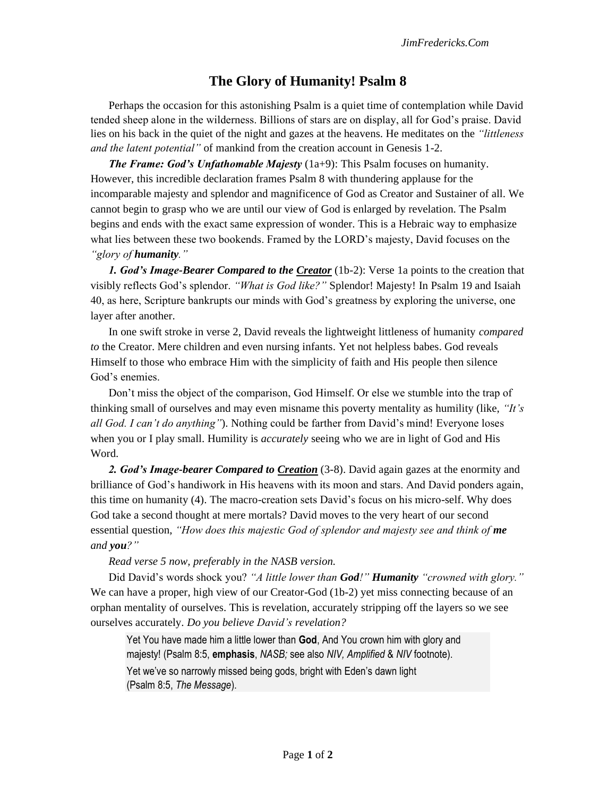## **The Glory of Humanity! Psalm 8**

Perhaps the occasion for this astonishing Psalm is a quiet time of contemplation while David tended sheep alone in the wilderness. Billions of stars are on display, all for God's praise. David lies on his back in the quiet of the night and gazes at the heavens. He meditates on the *"littleness and the latent potential"* of mankind from the creation account in Genesis 1-2.

*The Frame: God's Unfathomable Majesty (1a+9): This Psalm focuses on humanity.* However, this incredible declaration frames Psalm 8 with thundering applause for the incomparable majesty and splendor and magnificence of God as Creator and Sustainer of all. We cannot begin to grasp who we are until our view of God is enlarged by revelation. The Psalm begins and ends with the exact same expression of wonder. This is a Hebraic way to emphasize what lies between these two bookends. Framed by the LORD's majesty, David focuses on the *"glory of humanity."*

*1. God's Image-Bearer Compared to the Creator* (1b-2): Verse 1a points to the creation that visibly reflects God's splendor. *"What is God like?"* Splendor! Majesty! In Psalm 19 and Isaiah 40, as here, Scripture bankrupts our minds with God's greatness by exploring the universe, one layer after another.

In one swift stroke in verse 2, David reveals the lightweight littleness of humanity *compared to* the Creator. Mere children and even nursing infants. Yet not helpless babes. God reveals Himself to those who embrace Him with the simplicity of faith and His people then silence God's enemies.

Don't miss the object of the comparison, God Himself. Or else we stumble into the trap of thinking small of ourselves and may even misname this poverty mentality as humility (like, *"It's all God. I can't do anything"*). Nothing could be farther from David's mind! Everyone loses when you or I play small. Humility is *accurately* seeing who we are in light of God and His Word.

*2. God's Image-bearer Compared to Creation* (3-8). David again gazes at the enormity and brilliance of God's handiwork in His heavens with its moon and stars. And David ponders again, this time on humanity (4). The macro-creation sets David's focus on his micro-self. Why does God take a second thought at mere mortals? David moves to the very heart of our second essential question, "How does this majestic God of splendor and majesty see and think of **me** *and you?"*

*Read verse 5 now, preferably in the NASB version.* 

Did David's words shock you? *"A little lower than God!" Humanity "crowned with glory."*  We can have a proper, high view of our Creator-God (1b-2) yet miss connecting because of an orphan mentality of ourselves. This is revelation, accurately stripping off the layers so we see ourselves accurately. *Do you believe David's revelation?*

Yet You have made him a little lower than **God**, And You crown him with glory and majesty! (Psalm 8:5, **emphasis**, *NASB;* see also *NIV, Amplified* & *NIV* footnote). Yet we've so narrowly missed being gods, bright with Eden's dawn light (Psalm 8:5, *The Message*).